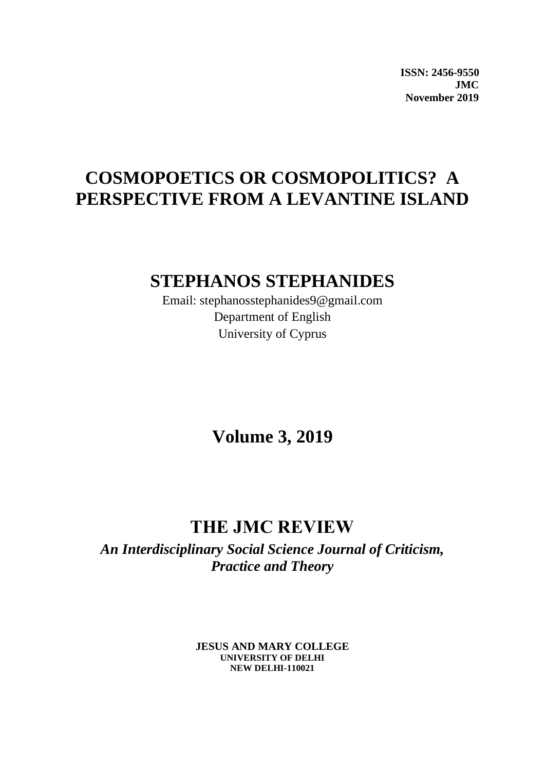**ISSN: 2456-9550 JMC November 2019**

## **COSMOPOETICS OR COSMOPOLITICS? A PERSPECTIVE FROM A LEVANTINE ISLAND**

### **STEPHANOS STEPHANIDES**

Email: stephanosstephanides9@gmail.com Department of English University of Cyprus

**Volume 3, 2019**

## **THE JMC REVIEW**

*An Interdisciplinary Social Science Journal of Criticism, Practice and Theory*

> **JESUS AND MARY COLLEGE UNIVERSITY OF DELHI NEW DELHI-110021**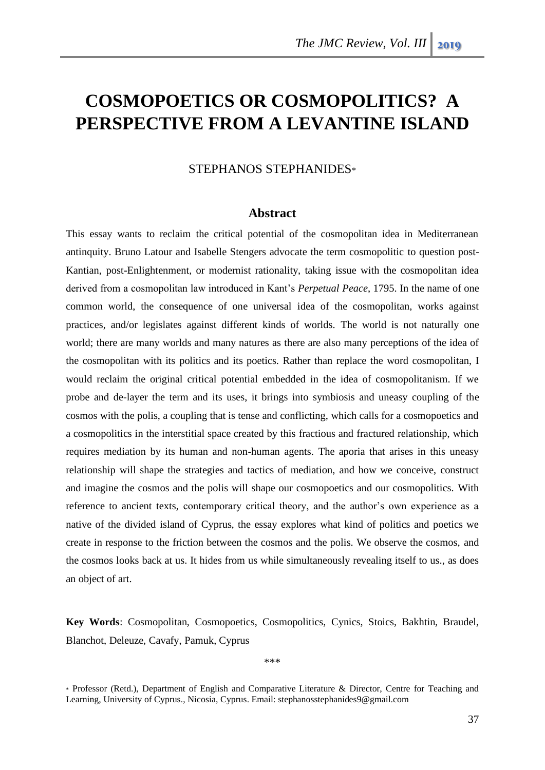# **COSMOPOETICS OR COSMOPOLITICS? A PERSPECTIVE FROM A LEVANTINE ISLAND**

### STEPHANOS STEPHANIDES\*

#### **Abstract**

This essay wants to reclaim the critical potential of the cosmopolitan idea in Mediterranean antinquity. Bruno Latour and Isabelle Stengers advocate the term cosmopolitic to question post-Kantian, post-Enlightenment, or modernist rationality, taking issue with the cosmopolitan idea derived from a cosmopolitan law introduced in Kant's *Perpetual Peace*, 1795. In the name of one common world, the consequence of one universal idea of the cosmopolitan, works against practices, and/or legislates against different kinds of worlds. The world is not naturally one world; there are many worlds and many natures as there are also many perceptions of the idea of the cosmopolitan with its politics and its poetics. Rather than replace the word cosmopolitan, I would reclaim the original critical potential embedded in the idea of cosmopolitanism. If we probe and de-layer the term and its uses, it brings into symbiosis and uneasy coupling of the cosmos with the polis, a coupling that is tense and conflicting, which calls for a cosmopoetics and a cosmopolitics in the interstitial space created by this fractious and fractured relationship, which requires mediation by its human and non-human agents. The aporia that arises in this uneasy relationship will shape the strategies and tactics of mediation, and how we conceive, construct and imagine the cosmos and the polis will shape our cosmopoetics and our cosmopolitics. With reference to ancient texts, contemporary critical theory, and the author's own experience as a native of the divided island of Cyprus, the essay explores what kind of politics and poetics we create in response to the friction between the cosmos and the polis. We observe the cosmos, and the cosmos looks back at us. It hides from us while simultaneously revealing itself to us., as does an object of art.

**Key Words**: Cosmopolitan, Cosmopoetics, Cosmopolitics, Cynics, Stoics, Bakhtin, Braudel, Blanchot, Deleuze, Cavafy, Pamuk, Cyprus

\*\*\*

<sup>\*</sup> Professor (Retd.), Department of English and Comparative Literature & Director, Centre for Teaching and Learning, University of Cyprus., Nicosia, Cyprus. Email: stephanosstephanides9@gmail.com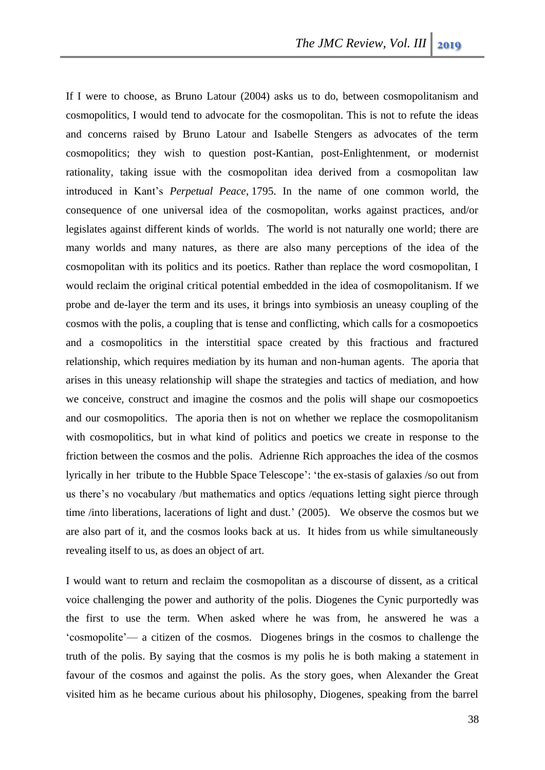If I were to choose, as Bruno Latour (2004) asks us to do, between cosmopolitanism and cosmopolitics, I would tend to advocate for the cosmopolitan. This is not to refute the ideas and concerns raised by Bruno Latour and Isabelle Stengers as advocates of the term cosmopolitics; they wish to question post-Kantian, post-Enlightenment, or modernist rationality, taking issue with the cosmopolitan idea derived from a cosmopolitan law introduced in Kant's *Perpetual Peace*, 1795. In the name of one common world, the consequence of one universal idea of the cosmopolitan, works against practices, and/or legislates against different kinds of worlds. The world is not naturally one world; there are many worlds and many natures, as there are also many perceptions of the idea of the cosmopolitan with its politics and its poetics. Rather than replace the word cosmopolitan, I would reclaim the original critical potential embedded in the idea of cosmopolitanism. If we probe and de-layer the term and its uses, it brings into symbiosis an uneasy coupling of the cosmos with the polis, a coupling that is tense and conflicting, which calls for a cosmopoetics and a cosmopolitics in the interstitial space created by this fractious and fractured relationship, which requires mediation by its human and non-human agents. The aporia that arises in this uneasy relationship will shape the strategies and tactics of mediation, and how we conceive, construct and imagine the cosmos and the polis will shape our cosmopoetics and our cosmopolitics. The aporia then is not on whether we replace the cosmopolitanism with cosmopolitics, but in what kind of politics and poetics we create in response to the friction between the cosmos and the polis. Adrienne Rich approaches the idea of the cosmos lyrically in her tribute to the Hubble Space Telescope': 'the ex-stasis of galaxies /so out from us there's no vocabulary /but mathematics and optics /equations letting sight pierce through time /into liberations, lacerations of light and dust.' (2005). We observe the cosmos but we are also part of it, and the cosmos looks back at us. It hides from us while simultaneously revealing itself to us, as does an object of art.

I would want to return and reclaim the cosmopolitan as a discourse of dissent, as a critical voice challenging the power and authority of the polis. Diogenes the Cynic purportedly was the first to use the term. When asked where he was from, he answered he was a 'cosmopolite'— a citizen of the cosmos. Diogenes brings in the cosmos to challenge the truth of the polis. By saying that the cosmos is my polis he is both making a statement in favour of the cosmos and against the polis. As the story goes, when Alexander the Great visited him as he became curious about his philosophy, Diogenes, speaking from the barrel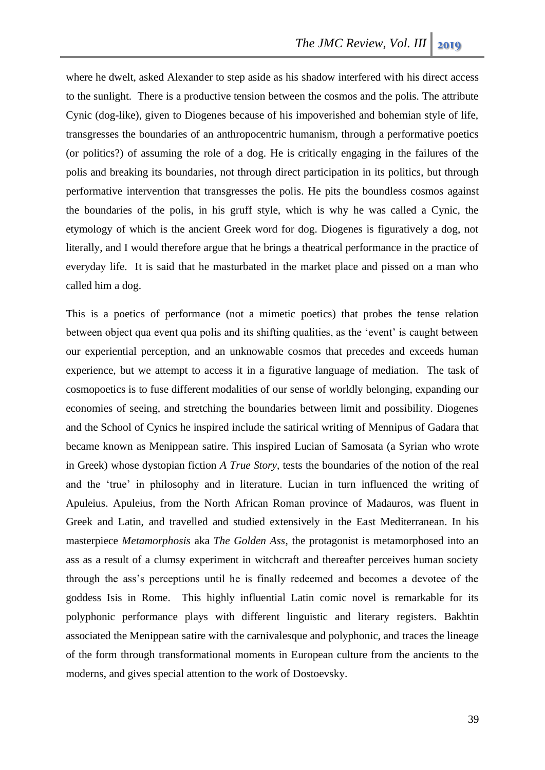where he dwelt, asked Alexander to step aside as his shadow interfered with his direct access to the sunlight. There is a productive tension between the cosmos and the polis. The attribute Cynic (dog-like), given to Diogenes because of his impoverished and bohemian style of life, transgresses the boundaries of an anthropocentric humanism, through a performative poetics (or politics?) of assuming the role of a dog. He is critically engaging in the failures of the polis and breaking its boundaries, not through direct participation in its politics, but through performative intervention that transgresses the polis. He pits the boundless cosmos against the boundaries of the polis, in his gruff style, which is why he was called a Cynic, the etymology of which is the ancient Greek word for dog. Diogenes is figuratively a dog, not literally, and I would therefore argue that he brings a theatrical performance in the practice of everyday life. It is said that he masturbated in the market place and pissed on a man who called him a dog.

This is a poetics of performance (not a mimetic poetics) that probes the tense relation between object qua event qua polis and its shifting qualities, as the 'event' is caught between our experiential perception, and an unknowable cosmos that precedes and exceeds human experience, but we attempt to access it in a figurative language of mediation. The task of cosmopoetics is to fuse different modalities of our sense of worldly belonging, expanding our economies of seeing, and stretching the boundaries between limit and possibility. Diogenes and the School of Cynics he inspired include the satirical writing of Mennipus of Gadara that became known as Menippean satire. This inspired Lucian of Samosata (a Syrian who wrote in Greek) whose dystopian fiction *A True Story*, tests the boundaries of the notion of the real and the 'true' in philosophy and in literature. Lucian in turn influenced the writing of Apuleius. Apuleius, from the North African Roman province of Madauros, was fluent in Greek and Latin, and travelled and studied extensively in the East Mediterranean. In his masterpiece *Metamorphosis* aka *The Golden Ass*, the protagonist is metamorphosed into an ass as a result of a clumsy experiment in witchcraft and thereafter perceives human society through the ass's perceptions until he is finally redeemed and becomes a devotee of the goddess Isis in Rome. This highly influential Latin comic novel is remarkable for its polyphonic performance plays with different linguistic and literary registers. Bakhtin associated the Menippean satire with the carnivalesque and polyphonic, and traces the lineage of the form through transformational moments in European culture from the ancients to the moderns, and gives special attention to the work of Dostoevsky.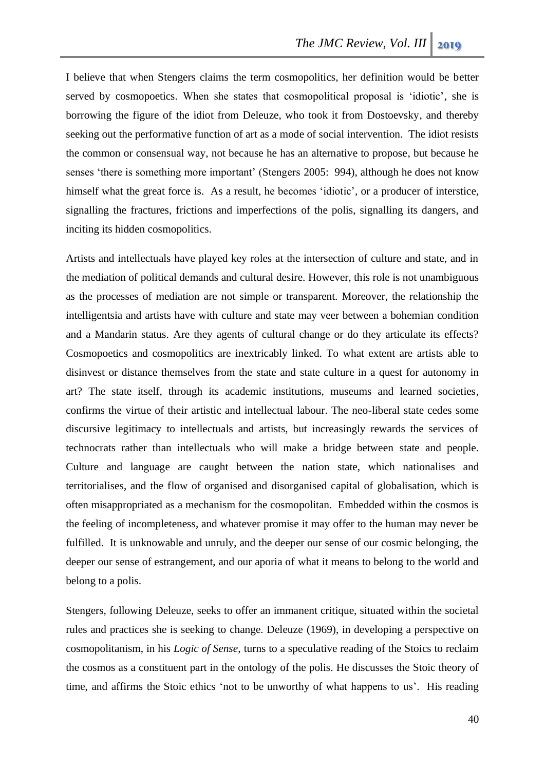I believe that when Stengers claims the term cosmopolitics, her definition would be better served by cosmopoetics. When she states that cosmopolitical proposal is 'idiotic', she is borrowing the figure of the idiot from Deleuze, who took it from Dostoevsky, and thereby seeking out the performative function of art as a mode of social intervention. The idiot resists the common or consensual way, not because he has an alternative to propose, but because he senses 'there is something more important' (Stengers 2005: 994), although he does not know himself what the great force is. As a result, he becomes 'idiotic', or a producer of interstice, signalling the fractures, frictions and imperfections of the polis, signalling its dangers, and inciting its hidden cosmopolitics.

Artists and intellectuals have played key roles at the intersection of culture and state, and in the mediation of political demands and cultural desire. However, this role is not unambiguous as the processes of mediation are not simple or transparent. Moreover, the relationship the intelligentsia and artists have with culture and state may veer between a bohemian condition and a Mandarin status. Are they agents of cultural change or do they articulate its effects? Cosmopoetics and cosmopolitics are inextricably linked. To what extent are artists able to disinvest or distance themselves from the state and state culture in a quest for autonomy in art? The state itself, through its academic institutions, museums and learned societies, confirms the virtue of their artistic and intellectual labour. The neo-liberal state cedes some discursive legitimacy to intellectuals and artists, but increasingly rewards the services of technocrats rather than intellectuals who will make a bridge between state and people. Culture and language are caught between the nation state, which nationalises and territorialises, and the flow of organised and disorganised capital of globalisation, which is often misappropriated as a mechanism for the cosmopolitan. Embedded within the cosmos is the feeling of incompleteness, and whatever promise it may offer to the human may never be fulfilled. It is unknowable and unruly, and the deeper our sense of our cosmic belonging, the deeper our sense of estrangement, and our aporia of what it means to belong to the world and belong to a polis.

Stengers, following Deleuze, seeks to offer an immanent critique, situated within the societal rules and practices she is seeking to change. Deleuze (1969), in developing a perspective on cosmopolitanism, in his *Logic of Sense*, turns to a speculative reading of the Stoics to reclaim the cosmos as a constituent part in the ontology of the polis. He discusses the Stoic theory of time, and affirms the Stoic ethics 'not to be unworthy of what happens to us'. His reading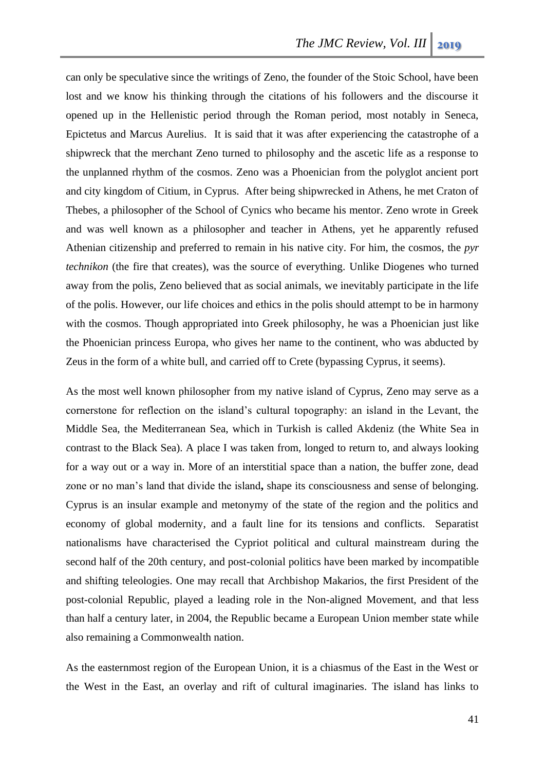can only be speculative since the writings of Zeno, the founder of the Stoic School, have been lost and we know his thinking through the citations of his followers and the discourse it opened up in the Hellenistic period through the Roman period, most notably in Seneca, Epictetus and Marcus Aurelius. It is said that it was after experiencing the catastrophe of a shipwreck that the merchant Zeno turned to philosophy and the ascetic life as a response to the unplanned rhythm of the cosmos. Zeno was a Phoenician from the polyglot ancient port and city kingdom of Citium, in Cyprus. After being shipwrecked in Athens, he met Craton of Thebes, a philosopher of the School of Cynics who became his mentor. Zeno wrote in Greek and was well known as a philosopher and teacher in Athens, yet he apparently refused Athenian citizenship and preferred to remain in his native city. For him, the cosmos, the *pyr technikon* (the fire that creates), was the source of everything. Unlike Diogenes who turned away from the polis, Zeno believed that as social animals, we inevitably participate in the life of the polis. However, our life choices and ethics in the polis should attempt to be in harmony with the cosmos. Though appropriated into Greek philosophy, he was a Phoenician just like the Phoenician princess Europa, who gives her name to the continent, who was abducted by Zeus in the form of a white bull, and carried off to Crete (bypassing Cyprus, it seems).

As the most well known philosopher from my native island of Cyprus, Zeno may serve as a cornerstone for reflection on the island's cultural topography: an island in the Levant, the Middle Sea, the Mediterranean Sea, which in Turkish is called Akdeniz (the White Sea in contrast to the Black Sea). A place I was taken from, longed to return to, and always looking for a way out or a way in. More of an interstitial space than a nation, the buffer zone, dead zone or no man's land that divide the island**,** shape its consciousness and sense of belonging. Cyprus is an insular example and metonymy of the state of the region and the politics and economy of global modernity, and a fault line for its tensions and conflicts. Separatist nationalisms have characterised the Cypriot political and cultural mainstream during the second half of the 20th century, and post-colonial politics have been marked by incompatible and shifting teleologies. One may recall that Archbishop Makarios, the first President of the post-colonial Republic, played a leading role in the Non-aligned Movement, and that less than half a century later, in 2004, the Republic became a European Union member state while also remaining a Commonwealth nation.

As the easternmost region of the European Union, it is a chiasmus of the East in the West or the West in the East, an overlay and rift of cultural imaginaries. The island has links to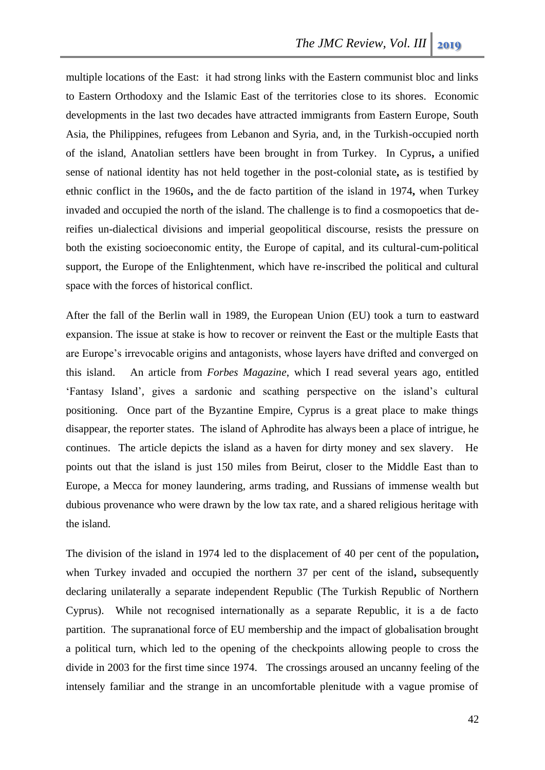multiple locations of the East: it had strong links with the Eastern communist bloc and links to Eastern Orthodoxy and the Islamic East of the territories close to its shores. Economic developments in the last two decades have attracted immigrants from Eastern Europe, South Asia, the Philippines, refugees from Lebanon and Syria, and, in the Turkish-occupied north of the island, Anatolian settlers have been brought in from Turkey. In Cyprus**,** a unified sense of national identity has not held together in the post-colonial state**,** as is testified by ethnic conflict in the 1960s**,** and the de facto partition of the island in 1974**,** when Turkey invaded and occupied the north of the island. The challenge is to find a cosmopoetics that dereifies un-dialectical divisions and imperial geopolitical discourse, resists the pressure on both the existing socioeconomic entity, the Europe of capital, and its cultural-cum-political support, the Europe of the Enlightenment, which have re-inscribed the political and cultural space with the forces of historical conflict.

After the fall of the Berlin wall in 1989, the European Union (EU) took a turn to eastward expansion. The issue at stake is how to recover or reinvent the East or the multiple Easts that are Europe's irrevocable origins and antagonists, whose layers have drifted and converged on this island. An article from *Forbes Magazine*, which I read several years ago, entitled 'Fantasy Island', gives a sardonic and scathing perspective on the island's cultural positioning. Once part of the Byzantine Empire, Cyprus is a great place to make things disappear, the reporter states. The island of Aphrodite has always been a place of intrigue, he continues. The article depicts the island as a haven for dirty money and sex slavery. He points out that the island is just 150 miles from Beirut, closer to the Middle East than to Europe, a Mecca for money laundering, arms trading, and Russians of immense wealth but dubious provenance who were drawn by the low tax rate, and a shared religious heritage with the island.

The division of the island in 1974 led to the displacement of 40 per cent of the population**,**  when Turkey invaded and occupied the northern 37 per cent of the island**,** subsequently declaring unilaterally a separate independent Republic (The Turkish Republic of Northern Cyprus). While not recognised internationally as a separate Republic, it is a de facto partition. The supranational force of EU membership and the impact of globalisation brought a political turn, which led to the opening of the checkpoints allowing people to cross the divide in 2003 for the first time since 1974. The crossings aroused an uncanny feeling of the intensely familiar and the strange in an uncomfortable plenitude with a vague promise of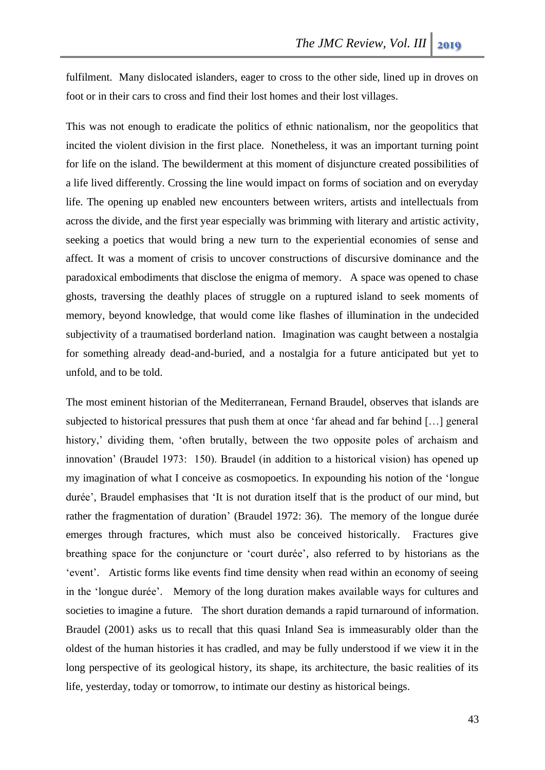fulfilment. Many dislocated islanders, eager to cross to the other side, lined up in droves on foot or in their cars to cross and find their lost homes and their lost villages.

This was not enough to eradicate the politics of ethnic nationalism, nor the geopolitics that incited the violent division in the first place. Nonetheless, it was an important turning point for life on the island. The bewilderment at this moment of disjuncture created possibilities of a life lived differently. Crossing the line would impact on forms of sociation and on everyday life. The opening up enabled new encounters between writers, artists and intellectuals from across the divide, and the first year especially was brimming with literary and artistic activity, seeking a poetics that would bring a new turn to the experiential economies of sense and affect. It was a moment of crisis to uncover constructions of discursive dominance and the paradoxical embodiments that disclose the enigma of memory. A space was opened to chase ghosts, traversing the deathly places of struggle on a ruptured island to seek moments of memory, beyond knowledge, that would come like flashes of illumination in the undecided subjectivity of a traumatised borderland nation. Imagination was caught between a nostalgia for something already dead-and-buried, and a nostalgia for a future anticipated but yet to unfold, and to be told.

The most eminent historian of the Mediterranean, Fernand Braudel, observes that islands are subjected to historical pressures that push them at once 'far ahead and far behind […] general history,' dividing them, 'often brutally, between the two opposite poles of archaism and innovation' (Braudel 1973: 150). Braudel (in addition to a historical vision) has opened up my imagination of what I conceive as cosmopoetics. In expounding his notion of the 'longue durée', Braudel emphasises that 'It is not duration itself that is the product of our mind, but rather the fragmentation of duration' (Braudel 1972: 36). The memory of the longue durée emerges through fractures, which must also be conceived historically. Fractures give breathing space for the conjuncture or 'court durée', also referred to by historians as the 'event'. Artistic forms like events find time density when read within an economy of seeing in the 'longue durée'. Memory of the long duration makes available ways for cultures and societies to imagine a future. The short duration demands a rapid turnaround of information. Braudel (2001) asks us to recall that this quasi Inland Sea is immeasurably older than the oldest of the human histories it has cradled, and may be fully understood if we view it in the long perspective of its geological history, its shape, its architecture, the basic realities of its life, yesterday, today or tomorrow, to intimate our destiny as historical beings.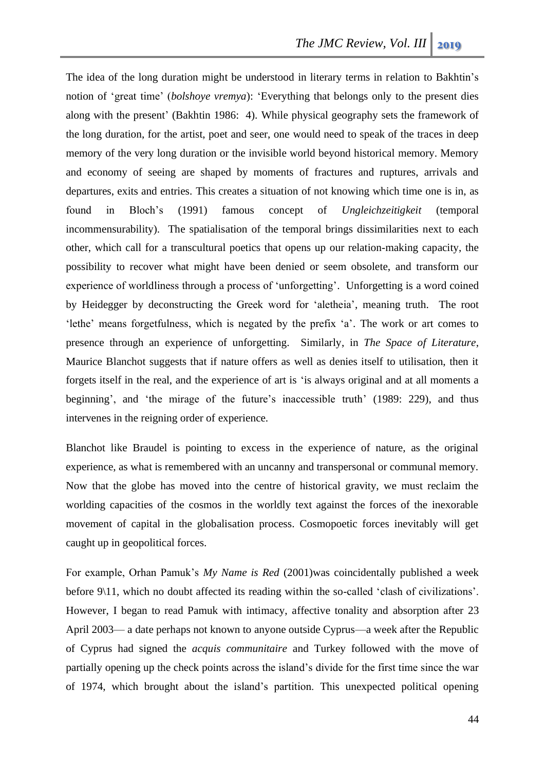The idea of the long duration might be understood in literary terms in relation to Bakhtin's notion of 'great time' (*bolshoye vremya*): 'Everything that belongs only to the present dies along with the present' (Bakhtin 1986: 4). While physical geography sets the framework of the long duration, for the artist, poet and seer, one would need to speak of the traces in deep memory of the very long duration or the invisible world beyond historical memory. Memory and economy of seeing are shaped by moments of fractures and ruptures, arrivals and departures, exits and entries. This creates a situation of not knowing which time one is in, as found in Bloch's (1991) famous concept of *Ungleichzeitigkeit* (temporal incommensurability). The spatialisation of the temporal brings dissimilarities next to each other, which call for a transcultural poetics that opens up our relation-making capacity, the possibility to recover what might have been denied or seem obsolete, and transform our experience of worldliness through a process of 'unforgetting'. Unforgetting is a word coined by Heidegger by deconstructing the Greek word for 'aletheia', meaning truth. The root 'lethe' means forgetfulness, which is negated by the prefix 'a'. The work or art comes to presence through an experience of unforgetting. Similarly, in *The Space of Literature*, Maurice Blanchot suggests that if nature offers as well as denies itself to utilisation, then it forgets itself in the real, and the experience of art is 'is always original and at all moments a beginning', and 'the mirage of the future's inaccessible truth' (1989: 229), and thus intervenes in the reigning order of experience.

Blanchot like Braudel is pointing to excess in the experience of nature, as the original experience, as what is remembered with an uncanny and transpersonal or communal memory. Now that the globe has moved into the centre of historical gravity, we must reclaim the worlding capacities of the cosmos in the worldly text against the forces of the inexorable movement of capital in the globalisation process. Cosmopoetic forces inevitably will get caught up in geopolitical forces.

For example, Orhan Pamuk's *My Name is Red* (2001)was coincidentally published a week before 9\11, which no doubt affected its reading within the so-called 'clash of civilizations'. However, I began to read Pamuk with intimacy, affective tonality and absorption after 23 April 2003— a date perhaps not known to anyone outside Cyprus—a week after the Republic of Cyprus had signed the *acquis communitaire* and Turkey followed with the move of partially opening up the check points across the island's divide for the first time since the war of 1974, which brought about the island's partition. This unexpected political opening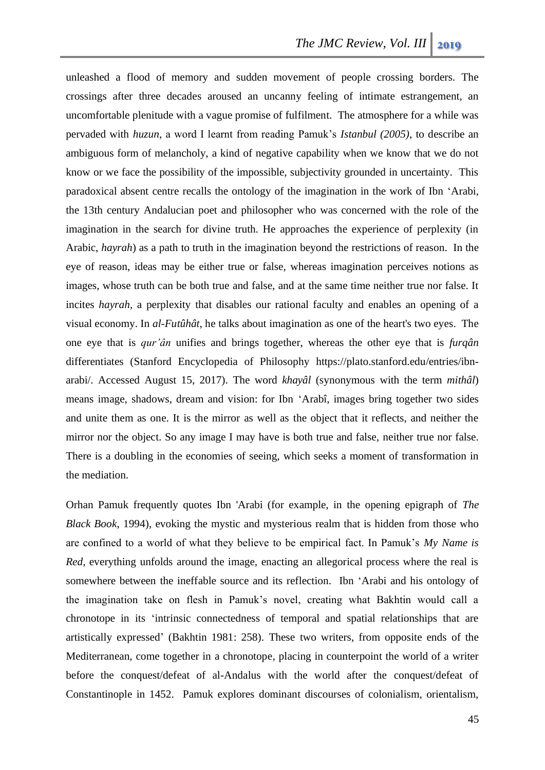unleashed a flood of memory and sudden movement of people crossing borders. The crossings after three decades aroused an uncanny feeling of intimate estrangement, an uncomfortable plenitude with a vague promise of fulfilment. The atmosphere for a while was pervaded with *huzun*, a word I learnt from reading Pamuk's *Istanbul (2005)*, to describe an ambiguous form of melancholy, a kind of negative capability when we know that we do not know or we face the possibility of the impossible, subjectivity grounded in uncertainty. This paradoxical absent centre recalls the ontology of the imagination in the work of Ibn 'Arabi, the 13th century Andalucian poet and philosopher who was concerned with the role of the imagination in the search for divine truth. He approaches the experience of perplexity (in Arabic, *hayrah*) as a path to truth in the imagination beyond the restrictions of reason. In the eye of reason, ideas may be either true or false, whereas imagination perceives notions as images, whose truth can be both true and false, and at the same time neither true nor false. It incites *hayrah*, a perplexity that disables our rational faculty and enables an opening of a visual economy. In *al-Futûhât*, he talks about imagination as one of the heart's two eyes. The one eye that is *qur'ân* unifies and brings together, whereas the other eye that is *furqân*  differentiates (Stanford Encyclopedia of Philosophy [https://plato.stanford.edu/entries/ibn](https://plato.stanford.edu/entries/ibn-arabi/)[arabi/.](https://plato.stanford.edu/entries/ibn-arabi/) Accessed August 15, 2017). The word *khayâl* (synonymous with the term *mithâl*) means image, shadows, dream and vision: for Ibn 'Arabî, images bring together two sides and unite them as one. It is the mirror as well as the object that it reflects, and neither the mirror nor the object. So any image I may have is both true and false, neither true nor false. There is a doubling in the economies of seeing, which seeks a moment of transformation in the mediation.

Orhan Pamuk frequently quotes Ibn 'Arabi (for example, in the opening epigraph of *The Black Book*, 1994), evoking the mystic and mysterious realm that is hidden from those who are confined to a world of what they believe to be empirical fact. In Pamuk's *My Name is Red,* everything unfolds around the image, enacting an allegorical process where the real is somewhere between the ineffable source and its reflection. Ibn 'Arabi and his ontology of the imagination take on flesh in Pamuk's novel, creating what Bakhtin would call a chronotope in its 'intrinsic connectedness of temporal and spatial relationships that are artistically expressed' (Bakhtin 1981: 258). These two writers, from opposite ends of the Mediterranean, come together in a chronotope, placing in counterpoint the world of a writer before the conquest/defeat of al-Andalus with the world after the conquest/defeat of Constantinople in 1452. Pamuk explores dominant discourses of colonialism, orientalism,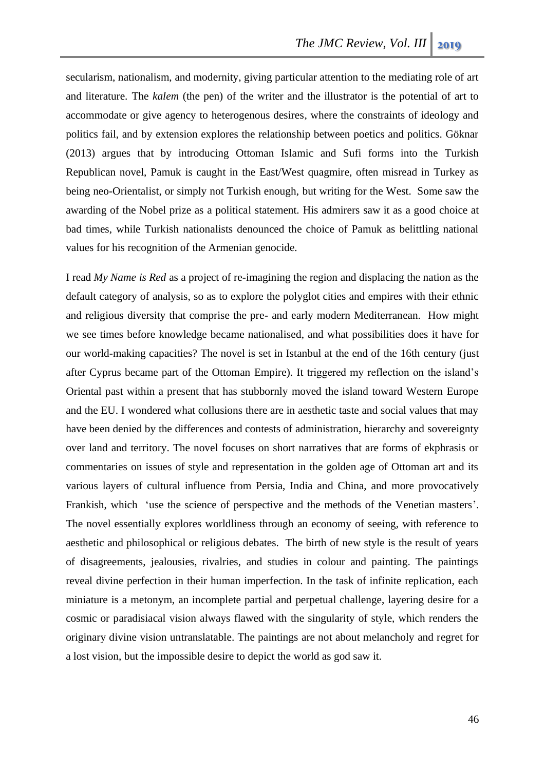secularism, nationalism, and modernity, giving particular attention to the mediating role of art and literature. The *kalem* (the pen) of the writer and the illustrator is the potential of art to accommodate or give agency to heterogenous desires, where the constraints of ideology and politics fail, and by extension explores the relationship between poetics and politics. Göknar (2013) argues that by introducing Ottoman Islamic and Sufi forms into the Turkish Republican novel, Pamuk is caught in the East/West quagmire, often misread in Turkey as being neo-Orientalist, or simply not Turkish enough, but writing for the West. Some saw the awarding of the Nobel prize as a political statement. His admirers saw it as a good choice at bad times, while Turkish nationalists denounced the choice of Pamuk as belittling national values for his recognition of the Armenian genocide.

I read *My Name is Red* as a project of re-imagining the region and displacing the nation as the default category of analysis, so as to explore the polyglot cities and empires with their ethnic and religious diversity that comprise the pre- and early modern Mediterranean. How might we see times before knowledge became nationalised, and what possibilities does it have for our world-making capacities? The novel is set in Istanbul at the end of the 16th century (just after Cyprus became part of the Ottoman Empire). It triggered my reflection on the island's Oriental past within a present that has stubbornly moved the island toward Western Europe and the EU. I wondered what collusions there are in aesthetic taste and social values that may have been denied by the differences and contests of administration, hierarchy and sovereignty over land and territory. The novel focuses on short narratives that are forms of ekphrasis or commentaries on issues of style and representation in the golden age of Ottoman art and its various layers of cultural influence from Persia, India and China, and more provocatively Frankish, which 'use the science of perspective and the methods of the Venetian masters'. The novel essentially explores worldliness through an economy of seeing, with reference to aesthetic and philosophical or religious debates. The birth of new style is the result of years of disagreements, jealousies, rivalries, and studies in colour and painting. The paintings reveal divine perfection in their human imperfection. In the task of infinite replication, each miniature is a metonym, an incomplete partial and perpetual challenge, layering desire for a cosmic or paradisiacal vision always flawed with the singularity of style, which renders the originary divine vision untranslatable. The paintings are not about melancholy and regret for a lost vision, but the impossible desire to depict the world as god saw it.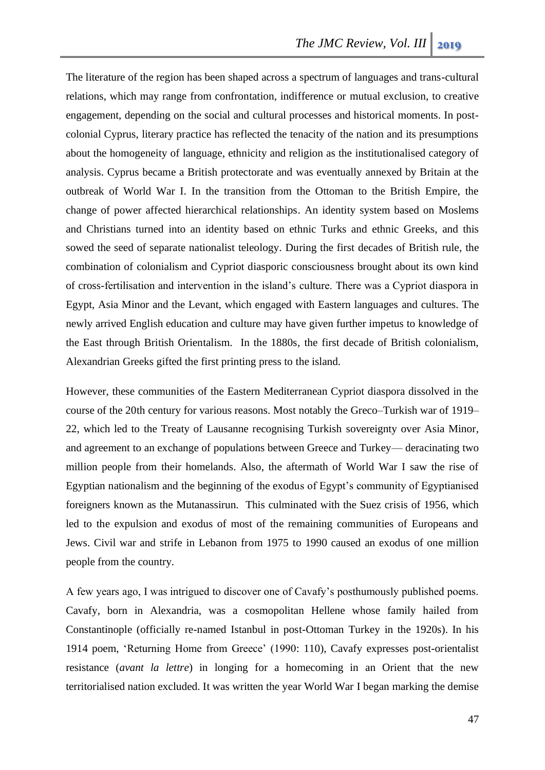The literature of the region has been shaped across a spectrum of languages and trans-cultural relations, which may range from confrontation, indifference or mutual exclusion, to creative engagement, depending on the social and cultural processes and historical moments. In postcolonial Cyprus, literary practice has reflected the tenacity of the nation and its presumptions about the homogeneity of language, ethnicity and religion as the institutionalised category of analysis. Cyprus became a British protectorate and was eventually annexed by Britain at the outbreak of World War I. In the transition from the Ottoman to the British Empire, the change of power affected hierarchical relationships. An identity system based on Moslems and Christians turned into an identity based on ethnic Turks and ethnic Greeks, and this sowed the seed of separate nationalist teleology. During the first decades of British rule, the combination of colonialism and Cypriot diasporic consciousness brought about its own kind of cross-fertilisation and intervention in the island's culture. There was a Cypriot diaspora in Egypt, Asia Minor and the Levant, which engaged with Eastern languages and cultures. The newly arrived English education and culture may have given further impetus to knowledge of the East through British Orientalism. In the 1880s, the first decade of British colonialism, Alexandrian Greeks gifted the first printing press to the island.

However, these communities of the Eastern Mediterranean Cypriot diaspora dissolved in the course of the 20th century for various reasons. Most notably the Greco–Turkish war of 1919– 22, which led to the Treaty of Lausanne recognising Turkish sovereignty over Asia Minor, and agreement to an exchange of populations between Greece and Turkey— deracinating two million people from their homelands. Also, the aftermath of World War I saw the rise of Egyptian nationalism and the beginning of the exodus of Egypt's community of Egyptianised foreigners known as the Mutanassirun. This culminated with the Suez crisis of 1956, which led to the expulsion and exodus of most of the remaining communities of Europeans and Jews. Civil war and strife in Lebanon from 1975 to 1990 caused an exodus of one million people from the country.

A few years ago, I was intrigued to discover one of Cavafy's posthumously published poems. Cavafy, born in Alexandria, was a cosmopolitan Hellene whose family hailed from Constantinople (officially re-named Istanbul in post-Ottoman Turkey in the 1920s). In his 1914 poem, 'Returning Home from Greece' (1990: 110), Cavafy expresses post-orientalist resistance (*avant la lettre*) in longing for a homecoming in an Orient that the new territorialised nation excluded. It was written the year World War I began marking the demise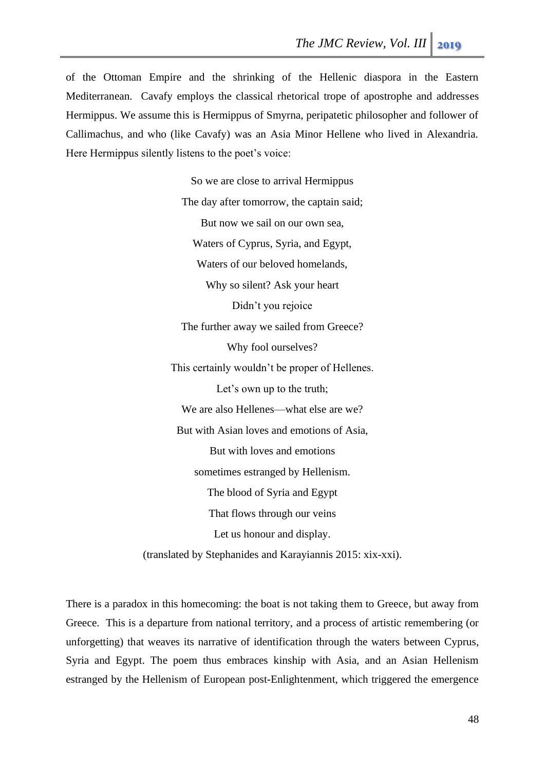of the Ottoman Empire and the shrinking of the Hellenic diaspora in the Eastern Mediterranean. Cavafy employs the classical rhetorical trope of apostrophe and addresses Hermippus. We assume this is Hermippus of Smyrna, peripatetic philosopher and follower of Callimachus, and who (like Cavafy) was an Asia Minor Hellene who lived in Alexandria. Here Hermippus silently listens to the poet's voice:

> So we are close to arrival Hermippus The day after tomorrow, the captain said; But now we sail on our own sea, Waters of Cyprus, Syria, and Egypt, Waters of our beloved homelands, Why so silent? Ask your heart Didn't you rejoice The further away we sailed from Greece? Why fool ourselves? This certainly wouldn't be proper of Hellenes. Let's own up to the truth; We are also Hellenes—what else are we? But with Asian loves and emotions of Asia, But with loves and emotions sometimes estranged by Hellenism. The blood of Syria and Egypt That flows through our veins Let us honour and display.

(translated by Stephanides and Karayiannis 2015: xix-xxi).

There is a paradox in this homecoming: the boat is not taking them to Greece, but away from Greece. This is a departure from national territory, and a process of artistic remembering (or unforgetting) that weaves its narrative of identification through the waters between Cyprus, Syria and Egypt. The poem thus embraces kinship with Asia, and an Asian Hellenism estranged by the Hellenism of European post-Enlightenment, which triggered the emergence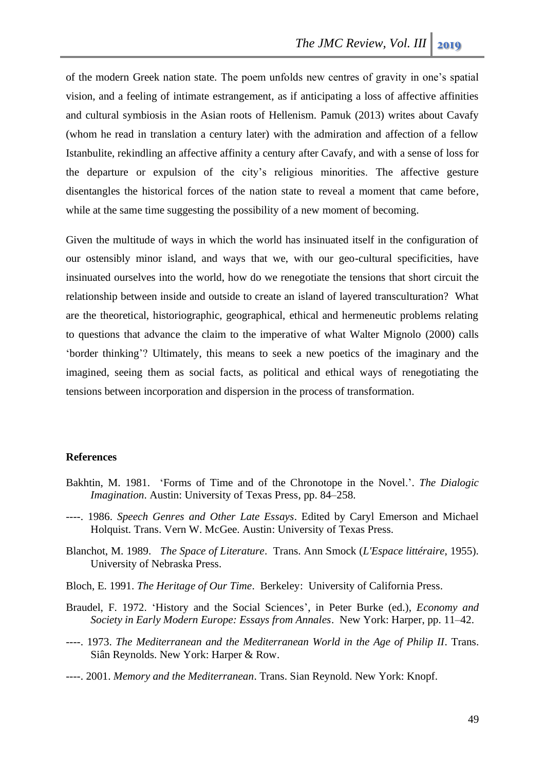of the modern Greek nation state. The poem unfolds new centres of gravity in one's spatial vision, and a feeling of intimate estrangement, as if anticipating a loss of affective affinities and cultural symbiosis in the Asian roots of Hellenism. Pamuk (2013) writes about Cavafy (whom he read in translation a century later) with the admiration and affection of a fellow Istanbulite, rekindling an affective affinity a century after Cavafy, and with a sense of loss for the departure or expulsion of the city's religious minorities. The affective gesture disentangles the historical forces of the nation state to reveal a moment that came before, while at the same time suggesting the possibility of a new moment of becoming.

Given the multitude of ways in which the world has insinuated itself in the configuration of our ostensibly minor island, and ways that we, with our geo-cultural specificities, have insinuated ourselves into the world, how do we renegotiate the tensions that short circuit the relationship between inside and outside to create an island of layered transculturation? What are the theoretical, historiographic, geographical, ethical and hermeneutic problems relating to questions that advance the claim to the imperative of what Walter Mignolo (2000) calls 'border thinking'? Ultimately, this means to seek a new poetics of the imaginary and the imagined, seeing them as social facts, as political and ethical ways of renegotiating the tensions between incorporation and dispersion in the process of transformation.

#### **References**

- Bakhtin, M. 1981. 'Forms of Time and of the Chronotope in the Novel.'. *The Dialogic Imagination*. Austin: University of Texas Press, pp. 84–258.
- ----. 1986. *Speech Genres and Other Late Essays*. Edited by Caryl Emerson and Michael Holquist. Trans. Vern W. McGee. Austin: University of Texas Press.
- Blanchot, M. 1989. *The Space of Literature*. Trans. Ann Smock (*L'Espace littéraire*, 1955). University of Nebraska Press.
- Bloch, E. 1991. *The Heritage of Our Time*. Berkeley: University of California Press.
- Braudel, F. 1972. 'History and the Social Sciences', in Peter Burke (ed.), *Economy and Society in Early Modern Europe: Essays from Annales*. New York: Harper, pp. 11–42.
- ----. 1973. *The Mediterranean and the Mediterranean World in the Age of Philip II*. Trans. Siân Reynolds. New York: Harper & Row.
- ----. 2001. *Memory and the Mediterranean*. Trans. Sian Reynold. New York: Knopf.